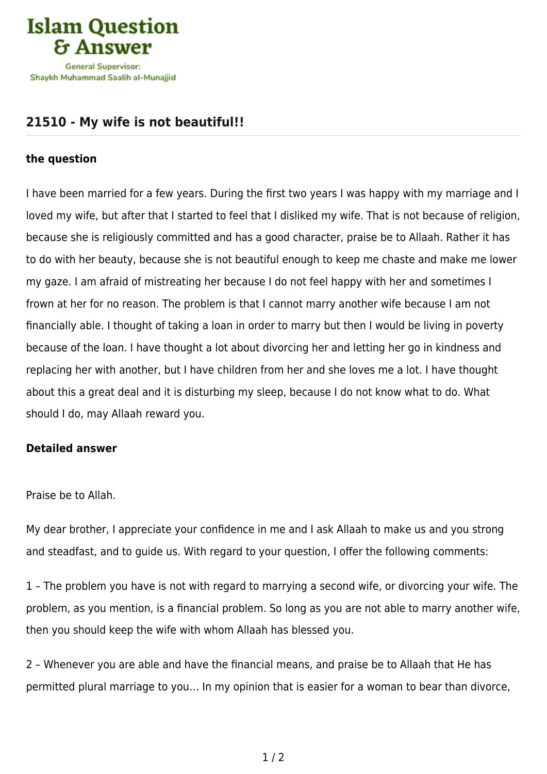

## **[21510 - My wife is not beautiful!!](https://islamqa.com/en/answers/21510/my-wife-is-not-beautiful)**

## **the question**

I have been married for a few years. During the first two years I was happy with my marriage and I loved my wife, but after that I started to feel that I disliked my wife. That is not because of religion, because she is religiously committed and has a good character, praise be to Allaah. Rather it has to do with her beauty, because she is not beautiful enough to keep me chaste and make me lower my gaze. I am afraid of mistreating her because I do not feel happy with her and sometimes I frown at her for no reason. The problem is that I cannot marry another wife because I am not financially able. I thought of taking a loan in order to marry but then I would be living in poverty because of the loan. I have thought a lot about divorcing her and letting her go in kindness and replacing her with another, but I have children from her and she loves me a lot. I have thought about this a great deal and it is disturbing my sleep, because I do not know what to do. What should I do, may Allaah reward you.

## **Detailed answer**

Praise be to Allah.

My dear brother, I appreciate your confidence in me and I ask Allaah to make us and you strong and steadfast, and to guide us. With regard to your question, I offer the following comments:

1 – The problem you have is not with regard to marrying a second wife, or divorcing your wife. The problem, as you mention, is a financial problem. So long as you are not able to marry another wife, then you should keep the wife with whom Allaah has blessed you.

2 – Whenever you are able and have the financial means, and praise be to Allaah that He has permitted plural marriage to you… In my opinion that is easier for a woman to bear than divorce,